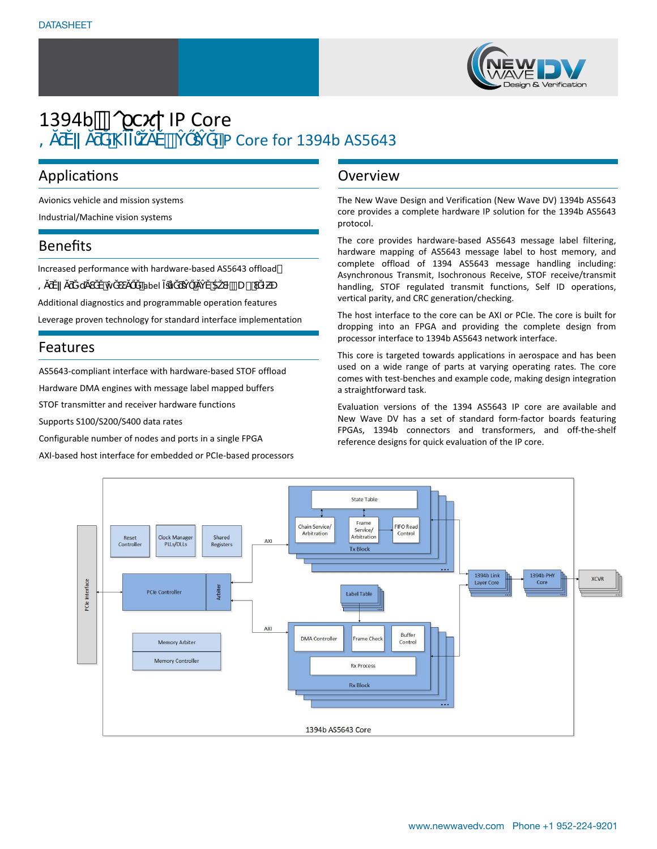

# 1394b ° O IP Core TP Core for 1394b AS5643

# Applications

Avionics vehicle and mission systems

Industrial/Machine vision systems

### Benefits

|  | Increased performance with hardware-based AS5643 offload |
|--|----------------------------------------------------------|
|--|----------------------------------------------------------|

| $\overline{\phantom{0}}$ |  | <b>label</b> |  |  | $\int U$ $\cdot$ $\cdot$ |
|--------------------------|--|--------------|--|--|--------------------------|
|--------------------------|--|--------------|--|--|--------------------------|

Additional diagnostics and programmable operation features

Leverage proven technology for standard interface implementation

### Features

AS5643-compliant interface with hardware-based STOF offload

Hardware DMA engines with message label mapped buffers

STOF transmitter and receiver hardware functions

Supports S100/S200/S400 data rates

Configurable number of nodes and ports in a single FPGA

AXI-based host interface for embedded or PCIe-based processors

### Overview

The New Wave Design and Verification (New Wave DV) 1394b AS5643 core provides a complete hardware IP solution for the 1394b AS5643 protocol.

The core provides hardware-based AS5643 message label filtering, hardware mapping of AS5643 message label to host memory, and complete offload of 1394 AS5643 message handling including: Asynchronous Transmit, Isochronous Receive, STOF receive/transmit handling, STOF regulated transmit functions, Self ID operations, vertical parity, and CRC generation/checking.

The host interface to the core can be AXI or PCIe. The core is built for dropping into an FPGA and providing the complete design from processor interface to 1394b AS5643 network interface.

This core is targeted towards applications in aerospace and has been used on a wide range of parts at varying operating rates. The core comes with test-benches and example code, making design integration a straightforward task.

Evaluation versions of the 1394 AS5643 IP core are available and New Wave DV has a set of standard form-factor boards featuring FPGAs, 1394b connectors and transformers, and off-the-shelf reference designs for quick evaluation of the IP core.